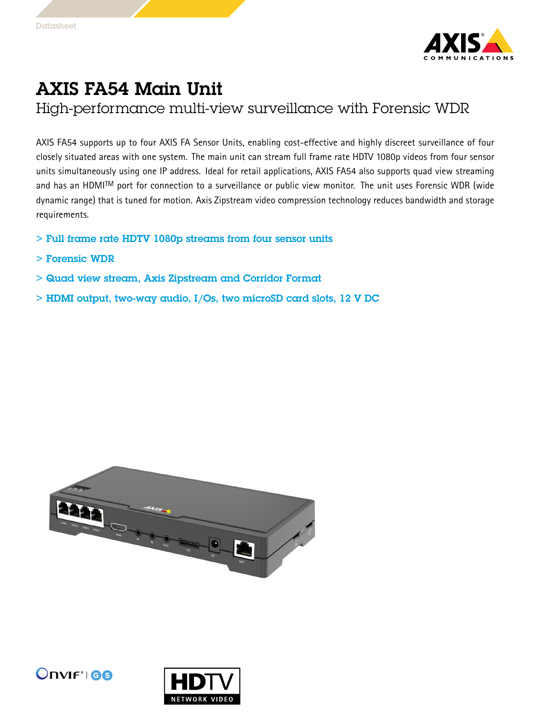

## AXIS FA54 Main Unit

High-performance multi-view surveillance with Forensic WDR

AXIS FA54 supports up to four AXIS FA Sensor Units, enabling cost-effective and highly discreet surveillance of four closely situated areas with one system. The main unit can stream full frame rate HDTV 1080p videos from four sensor units simultaneously using one IP address. Ideal for retail applications, AXIS FA54 also supports quad view streaming and has an HDMI TM port for connection to <sup>a</sup> surveillance or public view monitor. The unit uses Forensic WDR (wide dynamic range) that is tuned for motion. Axis Zipstream video compression technology reduces bandwidth and storage requirements.

- > Full frame rate HDTV 1080p streams from four sensor units
- > Forensic WDR
- > Quad view stream, Axis Zipstream and Corridor Format
- > HDMI output, two-way audio, I/Os, two microSD card slots, 12 V DC